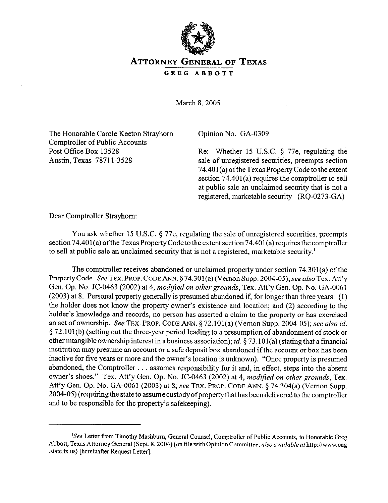

## ATTORNEY GENERAL OF TEXAS

GREG ABBOTT

March 8, 2005

The Honorable Carole Keeton Strayhorn Comptroller of Public Accounts Post Office Box 13528 Austin, Texas 78711-3528

Opinion No. GA-0309

Re: Whether 15 U.S.C. § 77e, regulating the sale of unregistered securities, preempts section 74.401 (a) ofthe Texas Property Code to the extent section 74.401(a) requires the comptroller to sell at public sale an unclaimed security that is not a registered, marketable security (RQ-0273-GA)

Dear Comptroller Strayhom:

You ask whether 15 U.S.C. § 77e, regulating the sale of unregistered securities, preempts section 74.401(a) of the Texas Property Code to the extent section 74.401(a) requires the comptroller to sell at public sale an unclaimed security that is not a registered, marketable security.'

The comptroller receives abandoned or unclaimed property under section 74.301(a) of the Property Code. See TEX. PROP. CODE ANN. § 74.301(a) (Vernon Supp. 2004-05); see also Tex. Att'y Gen. *Op. No.* JC-0463 *(2002)* at *4, modified on other grounds,* Tex. Att'y Gen. Op. No. GA-0061 (2003) at 8. Personal property generally is presumed abandoned if, for longer than three years: (1) the holder does not know the property owner's existence and location; and (2) according to the holder's knowledge and records, no person has asserted a claim to the property or has exercised an act of ownership. See TEX. PROP. CODE ANN. 5 72.101(a) (Vernon Supp. 2004-05); see also *id.*   $\S 72.101(b)$  (setting out the three-year period leading to a presumption of abandonment of stock or other intangible ownership interest in a business association); *id.* 5 73.101 (a) (stating that a financial institution may presume an account or a safe deposit box abandoned if the account or box has been inactive for five years or more and the owner's location is unknown). "Once property is presumed abandoned, the Comptroller . . . assumes responsibility for it and, in effect, steps into the absent owner's shoes." Tex. Att'y Gen. Qp. No. JC-0463 (2002) at 4, *modified on other grounds,* Tex. Att'y Gen. Op. No. GA-0061 (2003) at 8; see TEX. PROP. CODE ANN. 5 74.304(a) (Vernon Supp. 2004-05) (requiring the state to assume custody ofproperty that has been delivered to the comptroller and to be responsible for the property's safekeeping).

<sup>&</sup>lt;sup>1</sup>See Letter from Timothy Mashburn, General Counsel, Comptroller of Public Accounts, to Honorable Greg Abbott, Texas Attorney General (Sept. 8, 2004) (on file with Opinion Committee, also available at http://www.oag .state.tx.us) [hereinafter Request Letter].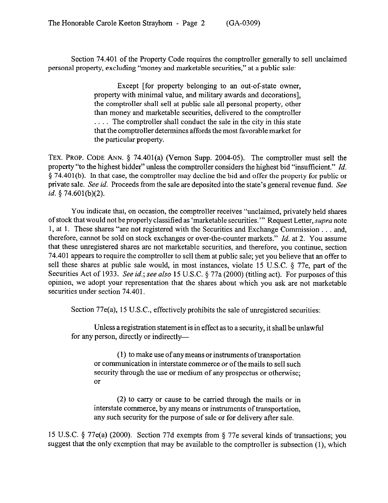Section 74.401 of the Property Code requires the comptroller generally to sell unclaimed personal property, excluding "money and marketable securities," at a public sale:

> Except [for property belonging to an out-of-state owner, property with minimal value, and military awards and decorations], the comptroller shall sell at public sale all personal property, other than money and marketable securities, delivered to the comptroller  $\ldots$  The comptroller shall conduct the sale in the city in this state that the comptroller determines affords the most favorable market for the particular property.

TEX. PROP. CODE ANN.  $\S$  74.401(a) (Vernon Supp. 2004-05). The comptroller must sell the property "to the highest bidder" unless the comptroller considers the highest bid "insufficient." *Id.*   $\S$  74.401(b). In that case, the comptroller may decline the bid and offer the property for public or private sale. See *id.* Proceeds from the sale are deposited into the state's general revenue fund. See *id. 5* 74.601(b)(2).

You indicate that, on occasion, the comptroller receives "unclaimed, privately held shares of stock that would not be properly classified as 'marketable securities."' Request Letter, supra note 1, at 1. These shares "are not registered with the Securities and Exchange Commission . . . and, therefore, cannot be sold on stock exchanges or over-the-counter markets." *Id.* at 2. You assume that these unregistered shares are not marketable securities, and therefore, you continue, section 74.401 appears to require the comptroller to sell them at public sale; yet you believe that an offer to sell these shares at public sale would, in most instances, violate 15 U.S.C. § 77e, part of the Securities Act of 1933. See id.; see also 15 U.S.C. § 77a (2000) (titling act). For purposes of this opinion, we adopt your representation that the shares about which you ask are not marketable securities under section 74.401.

Section 77e(a), 15 U.S.C., effectively prohibits the sale of unregistered securities:

Unless aregistration statement is in effect as to a security, it shall be unlawful for any person, directly or indirectly-

(1) to make use of any means or instruments of transportation or communication in interstate commerce or of the mails to sell such security through the use or medium of any prospectus or otherwise; or

(2) to carry or cause to be carried through the mails or in interstate commerce, by any means or instruments of transportation, any such security for the purpose of sale or for delivery after sale.

15 U.S.C. 5 77e(a) (2000). Section 77d exempts from 5 77e several kinds of transactions; you suggest that the only exemption that may be available to the comptroller is subsection (1), which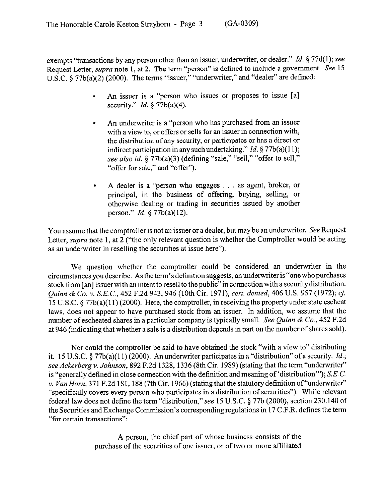exempts "transactions by any person other than an issuer, underwriter, or dealer." Id. § 77d(1); see Request Letter, *supra* note 1, at 2. The term "person" is defined to include a government. See 15 U.S.C.  $\frac{1}{2}$  77b(a)(2) (2000). The terms "issuer," "underwriter," and "dealer" are defined:

- . An issuer is a "person who issues or proposes to issue [a] security." *Id. 5* 77b(a)(4).
- . An underwriter is a "person who has purchased from an issuer with a view to, or offers or sells for an issuer in connection with, the distribution of any security, or participates or has a direct or indirect participation in any such undertaking." *Id. 5* 77b(a)( 11); see also *id.* § 77b(a)(3) (defining "sale," "sell," "offer to sell," "offer for sale," and "offer").
- A dealer is a "person who engages . . . as agent, broker, or principal, in the business of offering, buying, selling, or otherwise dealing or trading in securities issued by another person." *Id.* 8 77b(a)(12).

You assume that the comptroller is not an issuer or a dealer, but may be an underwriter. See Request Letter, *supra* note 1, at 2 ("the only relevant question is whether the Comptroller would be acting as an underwriter in reselling the securities at issue here").

We question whether the comptroller could be considered an underwriter in the circumstances you describe. As the term's definition suggests, an underwriter is "one who purchases stock from [an] issuer with an intent to resell to the public" in connection with a security distribution. *Quinn* & Co. v. *S.E.C.,* 452 F.2d 943,946 (10th Cir. 1971), *cert. denied, 406* US. 957 (1972); cf: 15 U.S.C. 9 77b(a)(ll) (2000). Here, the comptroller, in receiving the property under state escheat laws, does not appear to have purchased stock from an issuer. In addition, we assume that the number of escheated shares in a particular company is typically small. See *Quinn & Co., 452* F.2d at 946 (indicating that whether a sale is a distribution depends in part on the number of shares sold).

Nor could the comptroller be said to have obtained the stock "with a view to" distributing it. 15 U.S.C. 5 77b(a)( 11) (2000). An underwriter participates in a "distribution" of a security. *Id.; see Ackerberg* Y. *Johnson,* 892 F.2d 1328, 1336 (8th Cir. 1989) (stating that the term "underwriter" is "generally defined in close connection with the definition and meaning of 'distribution'"); S.E.C. v. *Van Horn,* 371 F.2d 181, 188 (7th Cir. 1966) (stating that the statutory definition of"underwriter" "specifically covers every person who participates in a distribution of securities"). While relevant federal law does not define the term "distribution,"see 15 U.S.C. 5 77b (2000), section 230.140 of the Securities and Exchange Commission's corresponding regulations in 17 C.F.R. defines the term "for certain transactions":

> A person, the chief part of whose business consists of the purchase of the securities of one issuer, or of two or more affiliated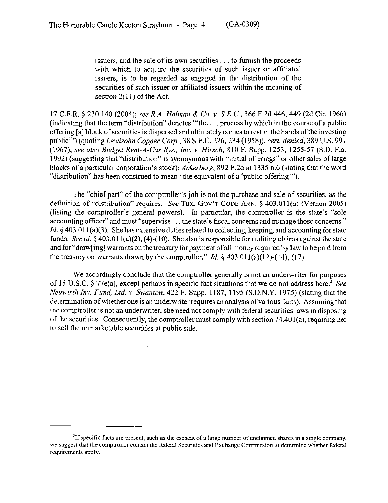issuers, and the sale of its own securities  $\ldots$  to furnish the proceeds with which to acquire the securities of such issuer or affiliated issuers, is to be regarded as engaged in the distribution of the securities of such issuer or affiliated issuers within the meaning of section 2(11) of the Act.

17 C.F.R. *5* 230.140 *(2004); see R.A. Holman & Co. Y. SEC., 366* F.2d 446,449 (2d Cir. 1966) (indicating that the term "distribution" denotes "the  $\ldots$  process by which in the course of a public offering [a] block of securities is dispersed and ultimately comes to rest in the hands of the investing public"') (quoting *Lewisohn Copper Corp., 38* S.E.C. *226,234* (1958)), *cert. denied, 389* U.S. 991 (1967); *see also Budget Rent-A-Car Sys., Inc. Y. Hirsch,* 810 F. Supp. 1253, 1255-57 (S.D. Fla. 1992) (suggesting that "distribution" is synonymous with "initial offerings" or other sales of large blocks of a particular corporation's stock); *Ackerberg,* 892 F.2d at 1335 n.6 (stating that the word "distribution" has been construed to mean "the equivalent of a 'public offering"').

The "chief part" of the comptroller's job is not the purchase and sale of securities, as the definition of "distribution" requires. See TEX. GOV'T CODE ANN. § 403.011(a) (Vernon 2005) (listing the comptroller's general powers). In particular, the comptroller is the state's "sole accounting officer" and must "supervise . . . the state's fiscal concerns and manage those concerns." *Id.* § 403.011(a)(3). She has extensive duties related to collecting, keeping, and accounting for state funds. See *id.* 5 403.01 l(a)(2), (4)-(10). She also is responsible for auditing claims against the state and for "draw[ing] warrants on the treasury for payment of all money required by law to be paid from the treasury on warrants drawn by the comptroller." *Id.*  $\frac{8}{3}$  403.011(a)(12)-(14), (17).

We accordingly conclude that the comptroller generally is not an underwriter for purposes of 15 U.S.C.  $\S$  77e(a), except perhaps in specific fact situations that we do not address here.<sup>2</sup> See *Neuwirth Inv. Fund, Ltd.* Y. *Swanton,* 422 F. Supp. 1187, 1195 (S.D.N.Y. 1975) (stating that the determination ofwhether one is an underwriter requires an analysis of various facts). Assuming that the comptroller is not an underwriter, she need not comply with federal securities laws in disposing of the securities. Consequently, the comptroller must comply with section 74.401(a), requiring her to sell the unmarketable securities at public sale.

<sup>&</sup>lt;sup>2</sup>If specific facts are present, such as the escheat of a large number of unclaimed shares in a single company, we suggest that the comptroller cmtact the federal Securities and Exchange Commission to determine whether federal requirements apply.